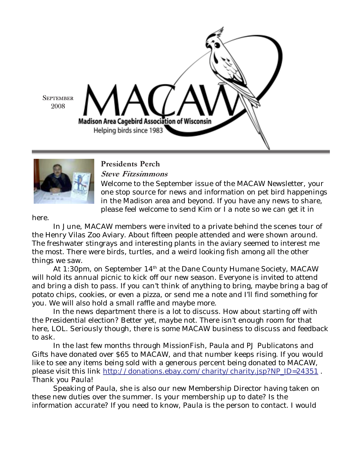



# Presidents Perch

Steve Fitzsimmons

Welcome to the September issue of the MACAW Newsletter, your one stop source for news and information on pet bird happenings in the Madison area and beyond. If you have any news to share, please feel welcome to send Kim or I a note so we can get it in

here.

In June, MACAW members were invited to a private behind the scenes tour of the Henry Vilas Zoo Aviary. About fifteen people attended and were shown around. The freshwater stingrays and interesting plants in the aviary seemed to interest me the most. There were birds, turtles, and a weird looking fish among all the other things we saw.

At 1:30pm, on September 14<sup>th</sup> at the Dane County Humane Society, MACAW will hold its annual picnic to kick off our new season. Everyone is invited to attend and bring a dish to pass. If you can't think of anything to bring, maybe bring a bag of potato chips, cookies, or even a pizza, or send me a note and I'll find something for you. We will also hold a small raffle and maybe more.

In the news department there is a lot to discuss. How about starting off with the Presidential election? Better yet, maybe not. There isn't enough room for that here, LOL. Seriously though, there is some MACAW business to discuss and feedback to ask.

In the last few months through MissionFish, Paula and PJ Publicatons and Gifts have donated over \$65 to MACAW, and that number keeps rising. If you would like to see any items being sold with a generous percent being donated to MACAW, please visit this link http://donations.ebay.com/charity/charity.jsp?NP\_ID=24351 . Thank you Paula!

Speaking of Paula, she is also our new Membership Director having taken on these new duties over the summer. Is your membership up to date? Is the information accurate? If you need to know, Paula is the person to contact. I would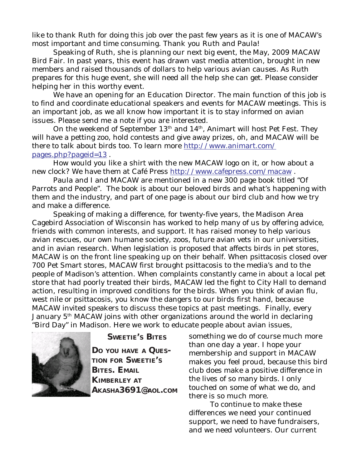like to thank Ruth for doing this job over the past few years as it is one of MACAW's most important and time consuming. Thank you Ruth and Paula!

Speaking of Ruth, she is planning our next big event, the May, 2009 MACAW Bird Fair. In past years, this event has drawn vast media attention, brought in new members and raised thousands of dollars to help various avian causes. As Ruth prepares for this huge event, she will need all the help she can get. Please consider helping her in this worthy event.

We have an opening for an Education Director. The main function of this job is to find and coordinate educational speakers and events for MACAW meetings. This is an important job, as we all know how important it is to stay informed on avian issues. Please send me a note if you are interested.

On the weekend of September  $13<sup>th</sup>$  and  $14<sup>th</sup>$ , Animart will host Pet Fest. They will have a petting zoo, hold contests and give away prizes, oh, and MACAW will be there to talk about birds too. To learn more http://www.animart.com/ pages.php?pageid=13 .

How would you like a shirt with the new MACAW logo on it, or how about a new clock? We have them at Café Press http://www.cafepress.com/macaw.

Paula and I and MACAW are mentioned in a new 300 page book titled "Of Parrots and People". The book is about our beloved birds and what's happening with them and the industry, and part of one page is about our bird club and how we try and make a difference.

Speaking of making a difference, for twenty-five years, the Madison Area Cagebird Association of Wisconsin has worked to help many of us by offering advice, friends with common interests, and support. It has raised money to help various avian rescues, our own humane society, zoos, future avian vets in our universities, and in avian research. When legislation is proposed that affects birds in pet stores, MACAW is on the front line speaking up on their behalf. When psittacosis closed over 700 Pet Smart stores, MACAW first brought psittacosis to the media's and to the people of Madison's attention. When complaints constantly came in about a local pet store that had poorly treated their birds, MACAW led the fight to City Hall to demand action, resulting in improved conditions for the birds. When you think of avian flu, west nile or psittacosis, you know the dangers to our birds first hand, because MACAW invited speakers to discuss these topics at past meetings. Finally, every January 5<sup>th</sup> MACAW joins with other organizations around the world in declaring "Bird Day" in Madison. Here we work to educate people about avian issues,



**SWEETIE'S BITES**

**DO YOU HAVE A QUES-TION FOR SWEETIE'S BITES. EMAIL KIMBERLEY AT AKASHA3691@AOL.COM** something we do of course much more than one day a year. I hope your membership and support in MACAW makes you feel proud, because this bird club does make a positive difference in the lives of so many birds. I only touched on some of what we do, and there is so much more.

To continue to make these differences we need your continued support, we need to have fundraisers, and we need volunteers. Our current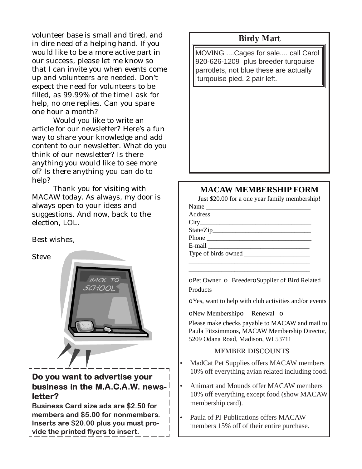volunteer base is small and tired, and **Birdy Mart** in dire need of a helping hand. If you would like to be a more active part in our success, please let me know so that I can invite you when events come up and volunteers are needed. Don't expect the need for volunteers to be filled, as 99.99% of the time I ask for help, no one replies. Can you spare one hour a month?

Would you like to write an article for our newsletter? Here's a fun way to share your knowledge and add content to our newsletter. What do you think of our newsletter? Is there anything you would like to see more of? Is there anything you can do to help?

Thank you for visiting with MACAW today. As always, my door is always open to your ideas and suggestions. And now, back to the election, LOL.

### Best wishes,

**Steve** 



# Do you want to advertise your business in the M.A.C.A.W. newsletter?

Business Card size ads are \$2.50 for members and \$5.00 for nonmembers. Inserts are \$20.00 plus you must provide the printed flyers to insert.

MOVING ....Cages for sale.... call Carol 920-626-1209 plus breeder turqouise parrotlets, not blue these are actually turqouise pied. 2 pair left.

## **MACAW MEMBERSHIP FORM**

Just \$20.00 for a one year family membership!

| Name |  |
|------|--|
|      |  |
|      |  |
|      |  |
|      |  |
|      |  |
|      |  |
|      |  |

oPet Owner o BreederoSupplier of Bird Related **Products** 

\_\_\_\_\_\_\_\_\_\_\_\_\_\_\_\_\_\_\_\_\_\_\_\_\_\_\_\_\_\_\_\_\_\_\_\_\_

oYes, want to help with club activities and/or events

oNew Membershipo Renewal o

Please make checks payable to MACAW and mail to Paula Fitzsimmons, MACAW Membership Director, 5209 Odana Road, Madison, WI 53711

## MEMBER DISCOUNTS

- MadCat Pet Supplies offers MACAW members 10% off everything avian related including food.
- Animart and Mounds offer MACAW members 10% off everything except food (show MACAW membership card).
- Paula of PJ Publications offers MACAW members 15% off of their entire purchase.